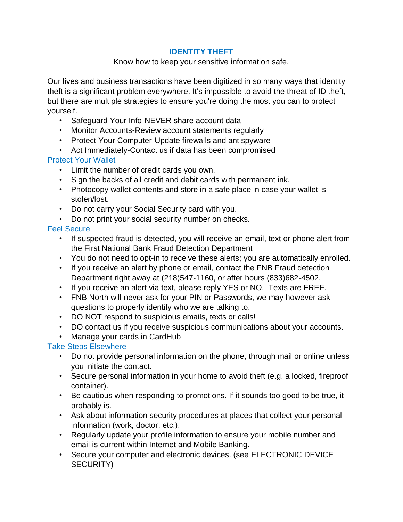### **IDENTITY THEFT**

#### Know how to keep your sensitive information safe.

Our lives and business transactions have been digitized in so many ways that identity theft is a significant problem everywhere. It's impossible to avoid the threat of ID theft, but there are multiple strategies to ensure you're doing the most you can to protect yourself.

- Safeguard Your Info-NEVER share account data
- Monitor Accounts-Review account statements regularly
- Protect Your Computer-Update firewalls and antispyware
- Act Immediately-Contact us if data has been compromised

# Protect Your Wallet

- Limit the number of credit cards you own.
- Sign the backs of all credit and debit cards with permanent ink.
- Photocopy wallet contents and store in a safe place in case your wallet is stolen/lost.
- Do not carry your Social Security card with you.
- Do not print your social security number on checks.

## Feel Secure

- If suspected fraud is detected, you will receive an email, text or phone alert from the First National Bank Fraud Detection Department
- You do not need to opt-in to receive these alerts; you are automatically enrolled.
- If you receive an alert by phone or email, contact the FNB Fraud detection Department right away at (218)547-1160, or after hours (833)682-4502.
- If you receive an alert via text, please reply YES or NO. Texts are FREE.
- FNB North will never ask for your PIN or Passwords, we may however ask questions to properly identify who we are talking to.
- DO NOT respond to suspicious emails, texts or calls!
- DO contact us if you receive suspicious communications about your accounts.
- Manage your cards in CardHub

# Take Steps Elsewhere

- Do not provide personal information on the phone, through mail or online unless you initiate the contact.
- Secure personal information in your home to avoid theft (e.g. a locked, fireproof container).
- Be cautious when responding to promotions. If it sounds too good to be true, it probably is.
- Ask about information security procedures at places that collect your personal information (work, doctor, etc.).
- Regularly update your profile information to ensure your mobile number and email is current within Internet and Mobile Banking.
- Secure your computer and electronic devices. (see ELECTRONIC DEVICE SECURITY)